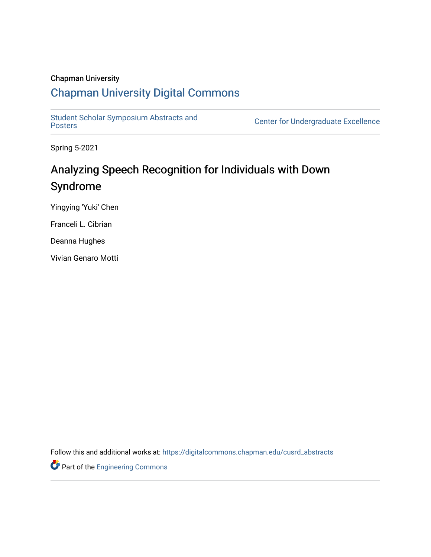#### Chapman University

### [Chapman University Digital Commons](https://digitalcommons.chapman.edu/)

Student Scholar Symposium Abstracts and<br>Posters

Center for Undergraduate Excellence

Spring 5-2021

# Analyzing Speech Recognition for Individuals with Down Syndrome

Yingying 'Yuki' Chen

Franceli L. Cibrian

Deanna Hughes

Vivian Genaro Motti

Follow this and additional works at: [https://digitalcommons.chapman.edu/cusrd\\_abstracts](https://digitalcommons.chapman.edu/cusrd_abstracts?utm_source=digitalcommons.chapman.edu%2Fcusrd_abstracts%2F430&utm_medium=PDF&utm_campaign=PDFCoverPages) 

Part of the [Engineering Commons](http://network.bepress.com/hgg/discipline/217?utm_source=digitalcommons.chapman.edu%2Fcusrd_abstracts%2F430&utm_medium=PDF&utm_campaign=PDFCoverPages)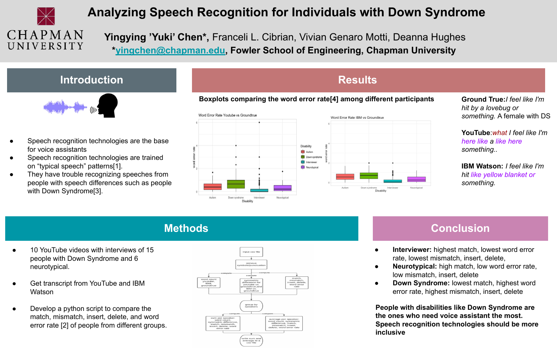

## **Analyzing Speech Recognition for Individuals with Down Syndrome**

 **Yingying 'Yuki' Chen\*,** Franceli L. Cibrian, Vivian Genaro Motti, Deanna Hughes  **[\\*yingchen@chapman.edu](mailto:yingchen@chapman.edu), Fowler School of Engineering, Chapman University** 

#### **Introduction**



- Speech recognition technologies are the base for voice assistants
- Speech recognition technologies are trained on "typical speech" patterns[1].
- They have trouble recognizing speeches from people with speech differences such as people with Down Syndrome[3].



**Results**

**Ground True:***I feel like I'm hit by a lovebug or something.* A female with DS

**YouTube**:*what I feel like I'm here like a like here something..*

**IBM Watson:** *I feel like I'm hit like yellow blanket or something.*

#### **Methods**

- 10 YouTube videos with interviews of 15 people with Down Syndrome and 6 neurotypical.
- Get transcript from YouTube and IBM Watson
- Develop a python script to compare the match, mismatch, insert, delete, and word error rate [2] of people from different groups.



#### **Conclusion**

- **Interviewer:** highest match, lowest word error rate, lowest mismatch, insert, delete,
- **Neurotypical:** high match, low word error rate, low mismatch, insert, delete
- **Down Syndrome:** lowest match, highest word error rate, highest mismatch, insert, delete

**People with disabilities like Down Syndrome are the ones who need voice assistant the most. Speech recognition technologies should be more inclusive**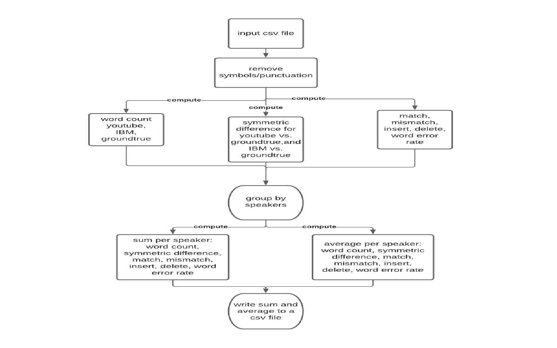